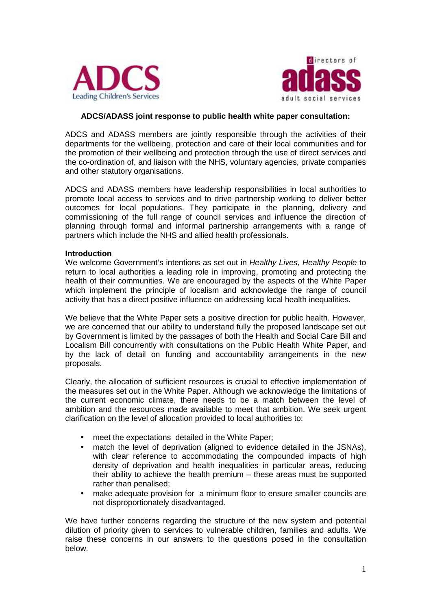



## **ADCS/ADASS joint response to public health white paper consultation:**

ADCS and ADASS members are jointly responsible through the activities of their departments for the wellbeing, protection and care of their local communities and for the promotion of their wellbeing and protection through the use of direct services and the co-ordination of, and liaison with the NHS, voluntary agencies, private companies and other statutory organisations.

ADCS and ADASS members have leadership responsibilities in local authorities to promote local access to services and to drive partnership working to deliver better outcomes for local populations. They participate in the planning, delivery and commissioning of the full range of council services and influence the direction of planning through formal and informal partnership arrangements with a range of partners which include the NHS and allied health professionals.

## **Introduction**

We welcome Government's intentions as set out in Healthy Lives, Healthy People to return to local authorities a leading role in improving, promoting and protecting the health of their communities. We are encouraged by the aspects of the White Paper which implement the principle of localism and acknowledge the range of council activity that has a direct positive influence on addressing local health inequalities.

We believe that the White Paper sets a positive direction for public health. However, we are concerned that our ability to understand fully the proposed landscape set out by Government is limited by the passages of both the Health and Social Care Bill and Localism Bill concurrently with consultations on the Public Health White Paper, and by the lack of detail on funding and accountability arrangements in the new proposals.

Clearly, the allocation of sufficient resources is crucial to effective implementation of the measures set out in the White Paper. Although we acknowledge the limitations of the current economic climate, there needs to be a match between the level of ambition and the resources made available to meet that ambition. We seek urgent clarification on the level of allocation provided to local authorities to:

- meet the expectations detailed in the White Paper:
- match the level of deprivation (aligned to evidence detailed in the JSNAs), with clear reference to accommodating the compounded impacts of high density of deprivation and health inequalities in particular areas, reducing their ability to achieve the health premium – these areas must be supported rather than penalised;
- make adequate provision for a minimum floor to ensure smaller councils are not disproportionately disadvantaged.

We have further concerns regarding the structure of the new system and potential dilution of priority given to services to vulnerable children, families and adults. We raise these concerns in our answers to the questions posed in the consultation below.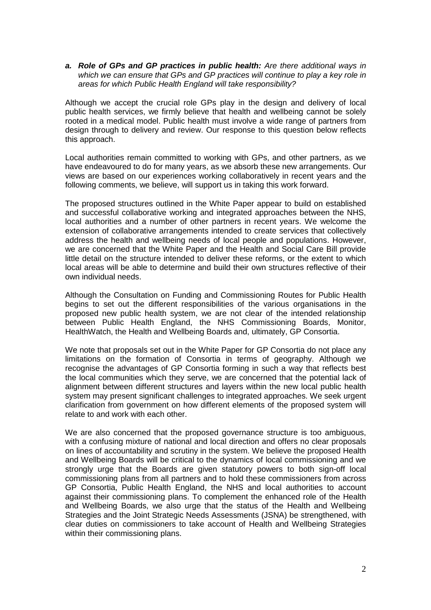**a. Role of GPs and GP practices in public health:** Are there additional ways in which we can ensure that GPs and GP practices will continue to play a key role in areas for which Public Health England will take responsibility?

Although we accept the crucial role GPs play in the design and delivery of local public health services, we firmly believe that health and wellbeing cannot be solely rooted in a medical model. Public health must involve a wide range of partners from design through to delivery and review. Our response to this question below reflects this approach.

Local authorities remain committed to working with GPs, and other partners, as we have endeavoured to do for many years, as we absorb these new arrangements. Our views are based on our experiences working collaboratively in recent years and the following comments, we believe, will support us in taking this work forward.

The proposed structures outlined in the White Paper appear to build on established and successful collaborative working and integrated approaches between the NHS, local authorities and a number of other partners in recent years. We welcome the extension of collaborative arrangements intended to create services that collectively address the health and wellbeing needs of local people and populations. However, we are concerned that the White Paper and the Health and Social Care Bill provide little detail on the structure intended to deliver these reforms, or the extent to which local areas will be able to determine and build their own structures reflective of their own individual needs.

Although the Consultation on Funding and Commissioning Routes for Public Health begins to set out the different responsibilities of the various organisations in the proposed new public health system, we are not clear of the intended relationship between Public Health England, the NHS Commissioning Boards, Monitor, HealthWatch, the Health and Wellbeing Boards and, ultimately, GP Consortia.

We note that proposals set out in the White Paper for GP Consortia do not place any limitations on the formation of Consortia in terms of geography. Although we recognise the advantages of GP Consortia forming in such a way that reflects best the local communities which they serve, we are concerned that the potential lack of alignment between different structures and layers within the new local public health system may present significant challenges to integrated approaches. We seek urgent clarification from government on how different elements of the proposed system will relate to and work with each other.

We are also concerned that the proposed governance structure is too ambiguous, with a confusing mixture of national and local direction and offers no clear proposals on lines of accountability and scrutiny in the system. We believe the proposed Health and Wellbeing Boards will be critical to the dynamics of local commissioning and we strongly urge that the Boards are given statutory powers to both sign-off local commissioning plans from all partners and to hold these commissioners from across GP Consortia, Public Health England, the NHS and local authorities to account against their commissioning plans. To complement the enhanced role of the Health and Wellbeing Boards, we also urge that the status of the Health and Wellbeing Strategies and the Joint Strategic Needs Assessments (JSNA) be strengthened, with clear duties on commissioners to take account of Health and Wellbeing Strategies within their commissioning plans.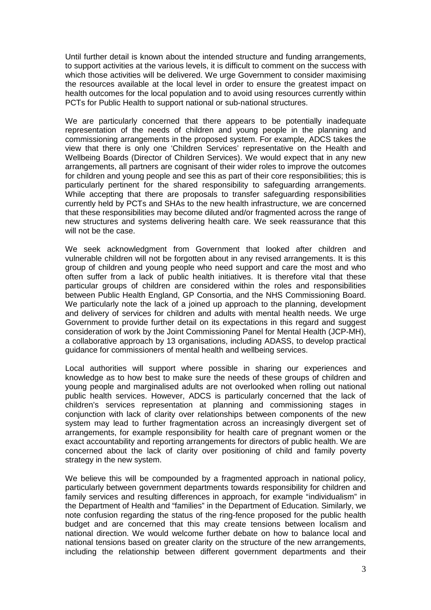Until further detail is known about the intended structure and funding arrangements, to support activities at the various levels, it is difficult to comment on the success with which those activities will be delivered. We urge Government to consider maximising the resources available at the local level in order to ensure the greatest impact on health outcomes for the local population and to avoid using resources currently within PCTs for Public Health to support national or sub-national structures.

We are particularly concerned that there appears to be potentially inadequate representation of the needs of children and young people in the planning and commissioning arrangements in the proposed system. For example, ADCS takes the view that there is only one 'Children Services' representative on the Health and Wellbeing Boards (Director of Children Services). We would expect that in any new arrangements, all partners are cognisant of their wider roles to improve the outcomes for children and young people and see this as part of their core responsibilities; this is particularly pertinent for the shared responsibility to safeguarding arrangements. While accepting that there are proposals to transfer safeguarding responsibilities currently held by PCTs and SHAs to the new health infrastructure, we are concerned that these responsibilities may become diluted and/or fragmented across the range of new structures and systems delivering health care. We seek reassurance that this will not be the case.

We seek acknowledgment from Government that looked after children and vulnerable children will not be forgotten about in any revised arrangements. It is this group of children and young people who need support and care the most and who often suffer from a lack of public health initiatives. It is therefore vital that these particular groups of children are considered within the roles and responsibilities between Public Health England, GP Consortia, and the NHS Commissioning Board. We particularly note the lack of a joined up approach to the planning, development and delivery of services for children and adults with mental health needs. We urge Government to provide further detail on its expectations in this regard and suggest consideration of work by the Joint Commissioning Panel for Mental Health (JCP-MH), a collaborative approach by 13 organisations, including ADASS, to develop practical guidance for commissioners of mental health and wellbeing services.

Local authorities will support where possible in sharing our experiences and knowledge as to how best to make sure the needs of these groups of children and young people and marginalised adults are not overlooked when rolling out national public health services. However, ADCS is particularly concerned that the lack of children's services representation at planning and commissioning stages in conjunction with lack of clarity over relationships between components of the new system may lead to further fragmentation across an increasingly divergent set of arrangements, for example responsibility for health care of pregnant women or the exact accountability and reporting arrangements for directors of public health. We are concerned about the lack of clarity over positioning of child and family poverty strategy in the new system.

We believe this will be compounded by a fragmented approach in national policy, particularly between government departments towards responsibility for children and family services and resulting differences in approach, for example "individualism" in the Department of Health and "families" in the Department of Education. Similarly, we note confusion regarding the status of the ring-fence proposed for the public health budget and are concerned that this may create tensions between localism and national direction. We would welcome further debate on how to balance local and national tensions based on greater clarity on the structure of the new arrangements, including the relationship between different government departments and their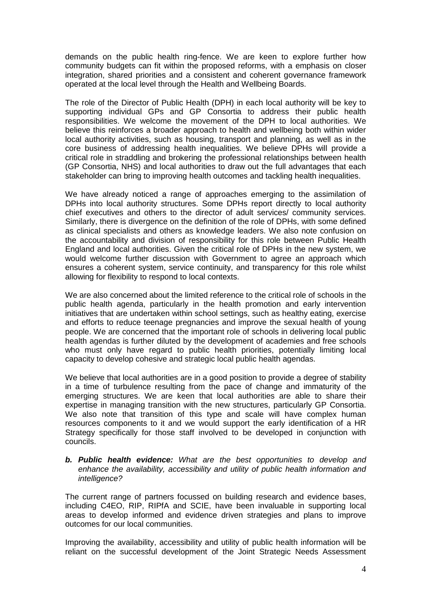demands on the public health ring-fence. We are keen to explore further how community budgets can fit within the proposed reforms, with a emphasis on closer integration, shared priorities and a consistent and coherent governance framework operated at the local level through the Health and Wellbeing Boards.

The role of the Director of Public Health (DPH) in each local authority will be key to supporting individual GPs and GP Consortia to address their public health responsibilities. We welcome the movement of the DPH to local authorities. We believe this reinforces a broader approach to health and wellbeing both within wider local authority activities, such as housing, transport and planning, as well as in the core business of addressing health inequalities. We believe DPHs will provide a critical role in straddling and brokering the professional relationships between health (GP Consortia, NHS) and local authorities to draw out the full advantages that each stakeholder can bring to improving health outcomes and tackling health inequalities.

We have already noticed a range of approaches emerging to the assimilation of DPHs into local authority structures. Some DPHs report directly to local authority chief executives and others to the director of adult services/ community services. Similarly, there is divergence on the definition of the role of DPHs, with some defined as clinical specialists and others as knowledge leaders. We also note confusion on the accountability and division of responsibility for this role between Public Health England and local authorities. Given the critical role of DPHs in the new system, we would welcome further discussion with Government to agree an approach which ensures a coherent system, service continuity, and transparency for this role whilst allowing for flexibility to respond to local contexts.

We are also concerned about the limited reference to the critical role of schools in the public health agenda, particularly in the health promotion and early intervention initiatives that are undertaken within school settings, such as healthy eating, exercise and efforts to reduce teenage pregnancies and improve the sexual health of young people. We are concerned that the important role of schools in delivering local public health agendas is further diluted by the development of academies and free schools who must only have regard to public health priorities, potentially limiting local capacity to develop cohesive and strategic local public health agendas.

We believe that local authorities are in a good position to provide a degree of stability in a time of turbulence resulting from the pace of change and immaturity of the emerging structures. We are keen that local authorities are able to share their expertise in managing transition with the new structures, particularly GP Consortia. We also note that transition of this type and scale will have complex human resources components to it and we would support the early identification of a HR Strategy specifically for those staff involved to be developed in conjunction with councils.

**b. Public health evidence:** What are the best opportunities to develop and enhance the availability, accessibility and utility of public health information and intelligence?

The current range of partners focussed on building research and evidence bases, including C4EO, RIP, RIPfA and SCIE, have been invaluable in supporting local areas to develop informed and evidence driven strategies and plans to improve outcomes for our local communities.

Improving the availability, accessibility and utility of public health information will be reliant on the successful development of the Joint Strategic Needs Assessment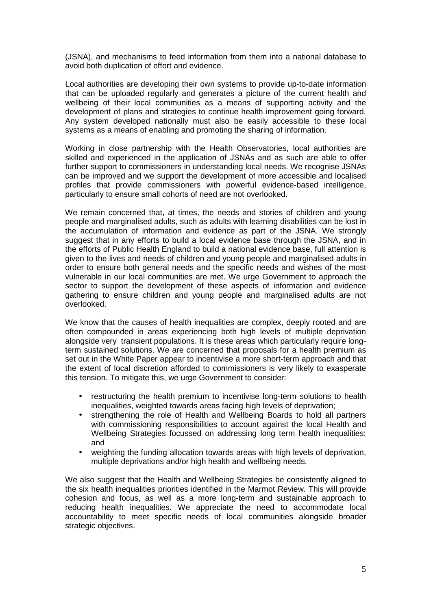(JSNA), and mechanisms to feed information from them into a national database to avoid both duplication of effort and evidence.

Local authorities are developing their own systems to provide up-to-date information that can be uploaded regularly and generates a picture of the current health and wellbeing of their local communities as a means of supporting activity and the development of plans and strategies to continue health improvement going forward. Any system developed nationally must also be easily accessible to these local systems as a means of enabling and promoting the sharing of information.

Working in close partnership with the Health Observatories, local authorities are skilled and experienced in the application of JSNAs and as such are able to offer further support to commissioners in understanding local needs. We recognise JSNAs can be improved and we support the development of more accessible and localised profiles that provide commissioners with powerful evidence-based intelligence, particularly to ensure small cohorts of need are not overlooked.

We remain concerned that, at times, the needs and stories of children and young people and marginalised adults, such as adults with learning disabilities can be lost in the accumulation of information and evidence as part of the JSNA. We strongly suggest that in any efforts to build a local evidence base through the JSNA, and in the efforts of Public Health England to build a national evidence base, full attention is given to the lives and needs of children and young people and marginalised adults in order to ensure both general needs and the specific needs and wishes of the most vulnerable in our local communities are met. We urge Government to approach the sector to support the development of these aspects of information and evidence gathering to ensure children and young people and marginalised adults are not overlooked.

We know that the causes of health inequalities are complex, deeply rooted and are often compounded in areas experiencing both high levels of multiple deprivation alongside very transient populations. It is these areas which particularly require longterm sustained solutions. We are concerned that proposals for a health premium as set out in the White Paper appear to incentivise a more short-term approach and that the extent of local discretion afforded to commissioners is very likely to exasperate this tension. To mitigate this, we urge Government to consider:

- restructuring the health premium to incentivise long-term solutions to health inequalities, weighted towards areas facing high levels of deprivation;
- strengthening the role of Health and Wellbeing Boards to hold all partners with commissioning responsibilities to account against the local Health and Wellbeing Strategies focussed on addressing long term health inequalities; and
- weighting the funding allocation towards areas with high levels of deprivation, multiple deprivations and/or high health and wellbeing needs.

We also suggest that the Health and Wellbeing Strategies be consistently aligned to the six health inequalities priorities identified in the Marmot Review. This will provide cohesion and focus, as well as a more long-term and sustainable approach to reducing health inequalities. We appreciate the need to accommodate local accountability to meet specific needs of local communities alongside broader strategic objectives.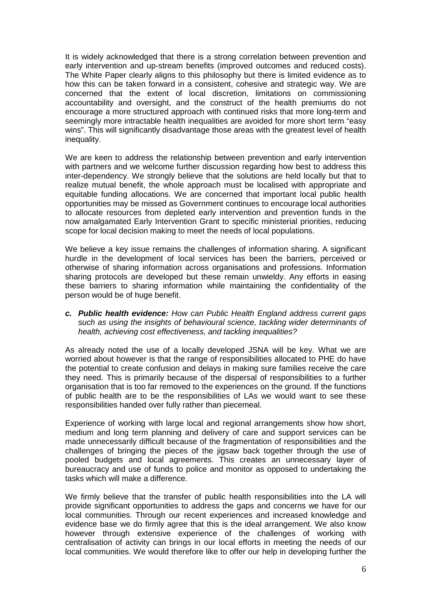It is widely acknowledged that there is a strong correlation between prevention and early intervention and up-stream benefits (improved outcomes and reduced costs). The White Paper clearly aligns to this philosophy but there is limited evidence as to how this can be taken forward in a consistent, cohesive and strategic way. We are concerned that the extent of local discretion, limitations on commissioning accountability and oversight, and the construct of the health premiums do not encourage a more structured approach with continued risks that more long-term and seemingly more intractable health inequalities are avoided for more short term "easy wins". This will significantly disadvantage those areas with the greatest level of health inequality.

We are keen to address the relationship between prevention and early intervention with partners and we welcome further discussion regarding how best to address this inter-dependency. We strongly believe that the solutions are held locally but that to realize mutual benefit, the whole approach must be localised with appropriate and equitable funding allocations. We are concerned that important local public health opportunities may be missed as Government continues to encourage local authorities to allocate resources from depleted early intervention and prevention funds in the now amalgamated Early Intervention Grant to specific ministerial priorities, reducing scope for local decision making to meet the needs of local populations.

We believe a key issue remains the challenges of information sharing. A significant hurdle in the development of local services has been the barriers, perceived or otherwise of sharing information across organisations and professions. Information sharing protocols are developed but these remain unwieldy. Any efforts in easing these barriers to sharing information while maintaining the confidentiality of the person would be of huge benefit.

**c. Public health evidence:** How can Public Health England address current gaps such as using the insights of behavioural science, tackling wider determinants of health, achieving cost effectiveness, and tackling inequalities?

As already noted the use of a locally developed JSNA will be key. What we are worried about however is that the range of responsibilities allocated to PHE do have the potential to create confusion and delays in making sure families receive the care they need. This is primarily because of the dispersal of responsibilities to a further organisation that is too far removed to the experiences on the ground. If the functions of public health are to be the responsibilities of LAs we would want to see these responsibilities handed over fully rather than piecemeal.

Experience of working with large local and regional arrangements show how short, medium and long term planning and delivery of care and support services can be made unnecessarily difficult because of the fragmentation of responsibilities and the challenges of bringing the pieces of the jigsaw back together through the use of pooled budgets and local agreements. This creates an unnecessary layer of bureaucracy and use of funds to police and monitor as opposed to undertaking the tasks which will make a difference.

We firmly believe that the transfer of public health responsibilities into the LA will provide significant opportunities to address the gaps and concerns we have for our local communities. Through our recent experiences and increased knowledge and evidence base we do firmly agree that this is the ideal arrangement. We also know however through extensive experience of the challenges of working with centralisation of activity can brings in our local efforts in meeting the needs of our local communities. We would therefore like to offer our help in developing further the